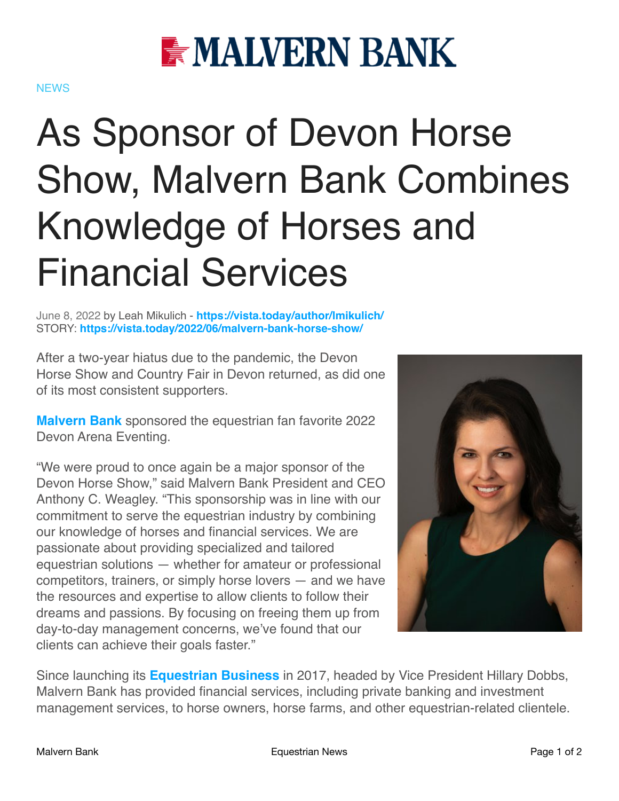

## **NEWS**

## As Sponsor of Devon Horse Show, Malvern Bank Combines Knowledge of Horses and Financial Services

June 8, 2022 by Leah Mikulich - **<https://vista.today/author/lmikulich/>** STORY: **<https://vista.today/2022/06/malvern-bank-horse-show/>**

After a two-year hiatus due to the pandemic, the Devon Horse Show and Country Fair in Devon returned, as did one of its most consistent supporters.

**[Malvern Bank](https://mymalvernbank.com/)** sponsored the equestrian fan favorite 2022 Devon Arena Eventing.

"We were proud to once again be a major sponsor of the Devon Horse Show," said Malvern Bank President and CEO Anthony C. Weagley. "This sponsorship was in line with our commitment to serve the equestrian industry by combining our knowledge of horses and financial services. We are passionate about providing specialized and tailored equestrian solutions — whether for amateur or professional competitors, trainers, or simply horse lovers — and we have the resources and expertise to allow clients to follow their dreams and passions. By focusing on freeing them up from day-to-day management concerns, we've found that our clients can achieve their goals faster."



Since launching its **[Equestrian Business](https://mymalvernbank.com/private_client/private_equestrian.html)** in 2017, headed by Vice President Hillary Dobbs, Malvern Bank has provided financial services, including private banking and investment management services, to horse owners, horse farms, and other equestrian-related clientele.